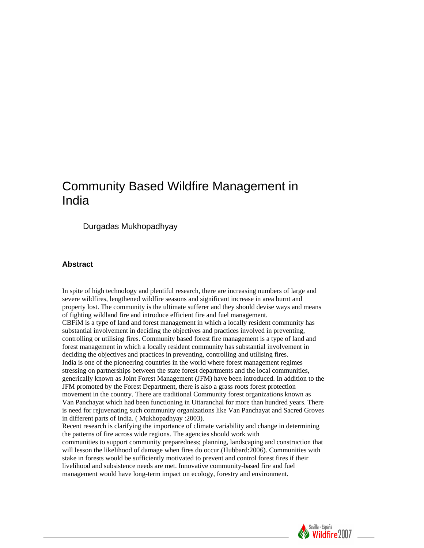# Community Based Wildfire Management in India

Durgadas Mukhopadhyay

#### **Abstract**

In spite of high technology and plentiful research, there are increasing numbers of large and severe wildfires, lengthened wildfire seasons and significant increase in area burnt and property lost. The community is the ultimate sufferer and they should devise ways and means of fighting wildland fire and introduce efficient fire and fuel management. CBFiM is a type of land and forest management in which a locally resident community has substantial involvement in deciding the objectives and practices involved in preventing, controlling or utilising fires. Community based forest fire management is a type of land and forest management in which a locally resident community has substantial involvement in deciding the objectives and practices in preventing, controlling and utilising fires. India is one of the pioneering countries in the world where forest management regimes stressing on partnerships between the state forest departments and the local communities, generically known as Joint Forest Management (JFM) have been introduced. In addition to the JFM promoted by the Forest Department, there is also a grass roots forest protection movement in the country. There are traditional Community forest organizations known as Van Panchayat which had been functioning in Uttaranchal for more than hundred years. There is need for rejuvenating such community organizations like Van Panchayat and Sacred Groves in different parts of India. ( Mukhopadhyay :2003). Recent research is clarifying the importance of climate variability and change in determining the patterns of fire across wide regions. The agencies should work with

communities to support community preparedness; planning, landscaping and construction that will lesson the likelihood of damage when fires do occur.(Hubbard:2006). Communities with stake in forests would be sufficiently motivated to prevent and control forest fires if their livelihood and subsistence needs are met. Innovative community-based fire and fuel management would have long-term impact on ecology, forestry and environment.

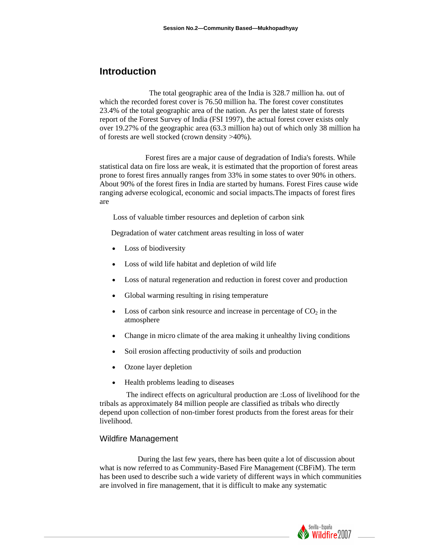# **Introduction**

The total geographic area of the India is 328.7 million ha. out of which the recorded forest cover is 76.50 million ha. The forest cover constitutes 23.4% of the total geographic area of the nation. As per the latest state of forests report of the Forest Survey of India (FSI 1997), the actual forest cover exists only over 19.27% of the geographic area (63.3 million ha) out of which only 38 million ha of forests are well stocked (crown density >40%).

Forest fires are a major cause of degradation of India's forests. While statistical data on fire loss are weak, it is estimated that the proportion of forest areas prone to forest fires annually ranges from 33% in some states to over 90% in others. About 90% of the forest fires in India are started by humans. Forest Fires cause wide ranging adverse ecological, economic and social impacts.The impacts of forest fires are

Loss of valuable timber resources and depletion of carbon sink

Degradation of water catchment areas resulting in loss of water

- Loss of biodiversity
- Loss of wild life habitat and depletion of wild life
- Loss of natural regeneration and reduction in forest cover and production
- Global warming resulting in rising temperature
- Loss of carbon sink resource and increase in percentage of  $CO<sub>2</sub>$  in the atmosphere
- Change in micro climate of the area making it unhealthy living conditions
- Soil erosion affecting productivity of soils and production
- Ozone layer depletion
- Health problems leading to diseases

The indirect effects on agricultural production are :Loss of livelihood for the tribals as approximately 84 million people are classified as tribals who directly depend upon collection of non-timber forest products from the forest areas for their livelihood.

### Wildfire Management

During the last few years, there has been quite a lot of discussion about what is now referred to as Community-Based Fire Management (CBFiM). The term has been used to describe such a wide variety of different ways in which communities are involved in fire management, that it is difficult to make any systematic

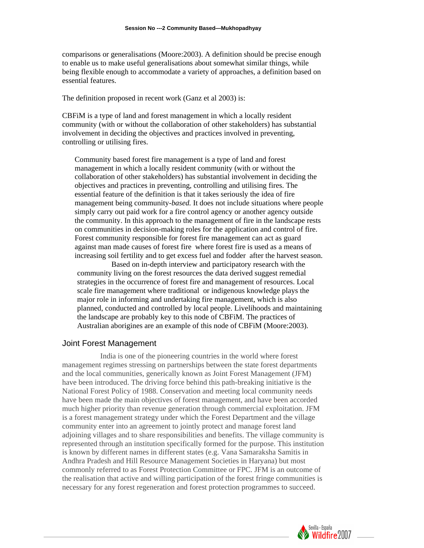comparisons or generalisations (Moore:2003). A definition should be precise enough to enable us to make useful generalisations about somewhat similar things, while being flexible enough to accommodate a variety of approaches, a definition based on essential features.

The definition proposed in recent work (Ganz et al 2003) is:

CBFiM is a type of land and forest management in which a locally resident community (with or without the collaboration of other stakeholders) has substantial involvement in deciding the objectives and practices involved in preventing, controlling or utilising fires.

Community based forest fire management is a type of land and forest management in which a locally resident community (with or without the collaboration of other stakeholders) has substantial involvement in deciding the objectives and practices in preventing, controlling and utilising fires. The essential feature of the definition is that it takes seriously the idea of fire management being community-*based.* It does not include situations where people simply carry out paid work for a fire control agency or another agency outside the community. In this approach to the management of fire in the landscape rests on communities in decision-making roles for the application and control of fire. Forest community responsible for forest fire management can act as guard against man made causes of forest fire where forest fire is used as a means of increasing soil fertility and to get excess fuel and fodder after the harvest season.

Based on in-depth interview and participatory research with the community living on the forest resources the data derived suggest remedial strategies in the occurrence of forest fire and management of resources. Local scale fire management where traditional or indigenous knowledge plays the major role in informing and undertaking fire management, which is also planned, conducted and controlled by local people. Livelihoods and maintaining the landscape are probably key to this node of CBFiM. The practices of Australian aborigines are an example of this node of CBFiM (Moore:2003).

#### Joint Forest Management

India is one of the pioneering countries in the world where forest management regimes stressing on partnerships between the state forest departments and the local communities, generically known as Joint Forest Management (JFM) have been introduced. The driving force behind this path-breaking initiative is the National Forest Policy of 1988. Conservation and meeting local community needs have been made the main objectives of forest management, and have been accorded much higher priority than revenue generation through commercial exploitation. JFM is a forest management strategy under which the Forest Department and the village community enter into an agreement to jointly protect and manage forest land adjoining villages and to share responsibilities and benefits. The village community is represented through an institution specifically formed for the purpose. This institution is known by different names in different states (e.g. Vana Samaraksha Samitis in Andhra Pradesh and Hill Resource Management Societies in Haryana) but most commonly referred to as Forest Protection Committee or FPC. JFM is an outcome of the realisation that active and willing participation of the forest fringe communities is necessary for any forest regeneration and forest protection programmes to succeed.

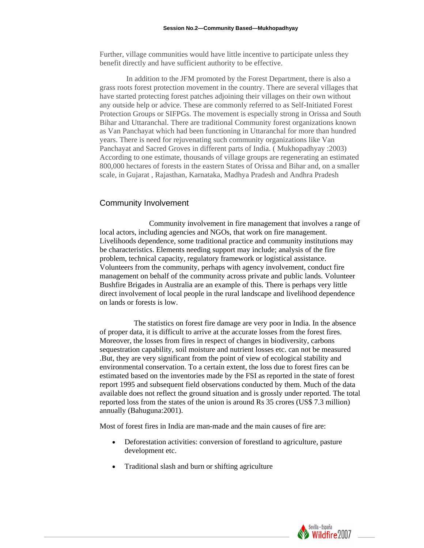Further, village communities would have little incentive to participate unless they benefit directly and have sufficient authority to be effective.

In addition to the JFM promoted by the Forest Department, there is also a grass roots forest protection movement in the country. There are several villages that have started protecting forest patches adjoining their villages on their own without any outside help or advice. These are commonly referred to as Self-Initiated Forest Protection Groups or SIFPGs. The movement is especially strong in Orissa and South Bihar and Uttaranchal. There are traditional Community forest organizations known as Van Panchayat which had been functioning in Uttaranchal for more than hundred years. There is need for rejuvenating such community organizations like Van Panchayat and Sacred Groves in different parts of India. ( Mukhopadhyay :2003) According to one estimate, thousands of village groups are regenerating an estimated 800,000 hectares of forests in the eastern States of Orissa and Bihar and, on a smaller scale, in Gujarat , Rajasthan, Karnataka, Madhya Pradesh and Andhra Pradesh

#### Community Involvement

Community involvement in fire management that involves a range of local actors, including agencies and NGOs, that work on fire management. Livelihoods dependence, some traditional practice and community institutions may be characteristics. Elements needing support may include; analysis of the fire problem, technical capacity, regulatory framework or logistical assistance. Volunteers from the community, perhaps with agency involvement, conduct fire management on behalf of the community across private and public lands. Volunteer Bushfire Brigades in Australia are an example of this. There is perhaps very little direct involvement of local people in the rural landscape and livelihood dependence on lands or forests is low.

The statistics on forest fire damage are very poor in India. In the absence of proper data, it is difficult to arrive at the accurate losses from the forest fires. Moreover, the losses from fires in respect of changes in biodiversity, carbons sequestration capability, soil moisture and nutrient losses etc. can not be measured .But, they are very significant from the point of view of ecological stability and environmental conservation. To a certain extent, the loss due to forest fires can be estimated based on the inventories made by the FSI as reported in the state of forest report 1995 and subsequent field observations conducted by them. Much of the data available does not reflect the ground situation and is grossly under reported. The total reported loss from the states of the union is around Rs 35 crores (US\$ 7.3 million) annually (Bahuguna:2001).

Most of forest fires in India are man-made and the main causes of fire are:

- Deforestation activities: conversion of forestland to agriculture, pasture development etc.
- Traditional slash and burn or shifting agriculture

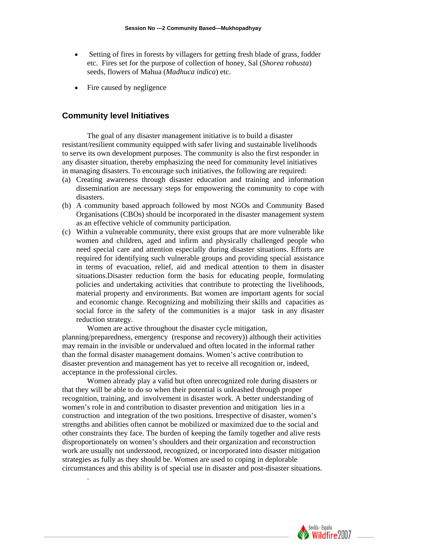- Setting of fires in forests by villagers for getting fresh blade of grass, fodder etc. Fires set for the purpose of collection of honey, Sal (*Shorea robusta*) seeds, flowers of Mahua (*Madhuca indica*) etc.
- Fire caused by negligence

# **Community level Initiatives**

.

The goal of any disaster management initiative is to build a disaster resistant/resilient community equipped with safer living and sustainable livelihoods to serve its own development purposes. The community is also the first responder in any disaster situation, thereby emphasizing the need for community level initiatives in managing disasters. To encourage such initiatives, the following are required:

- (a) Creating awareness through disaster education and training and information dissemination are necessary steps for empowering the community to cope with disasters.
- (b) A community based approach followed by most NGOs and Community Based Organisations (CBOs) should be incorporated in the disaster management system as an effective vehicle of community participation.
- (c) Within a vulnerable community, there exist groups that are more vulnerable like women and children, aged and infirm and physically challenged people who need special care and attention especially during disaster situations. Efforts are required for identifying such vulnerable groups and providing special assistance in terms of evacuation, relief, aid and medical attention to them in disaster situations.Disaster reduction form the basis for educating people, formulating policies and undertaking activities that contribute to protecting the livelihoods, material property and environments. But women are important agents for social and economic change. Recognizing and mobilizing their skills and capacities as social force in the safety of the communities is a major task in any disaster reduction strategy.

Women are active throughout the disaster cycle mitigation, planning/preparedness, emergency (response and recovery)) although their activities may remain in the invisible or undervalued and often located in the informal rather than the formal disaster management domains. Women's active contribution to disaster prevention and management has yet to receive all recognition or, indeed, acceptance in the professional circles.

Women already play a valid but often unrecognized role during disasters or that they will be able to do so when their potential is unleashed through proper recognition, training, and involvement in disaster work. A better understanding of women's role in and contribution to disaster prevention and mitigation lies in a construction and integration of the two positions. Irrespective of disaster, women's strengths and abilities often cannot be mobilized or maximized due to the social and other constraints they face. The burden of keeping the family together and alive rests disproportionately on women's shoulders and their organization and reconstruction work are usually not understood, recognized, or incorporated into disaster mitigation strategies as fully as they should be. Women are used to coping in deplorable circumstances and this ability is of special use in disaster and post-disaster situations.

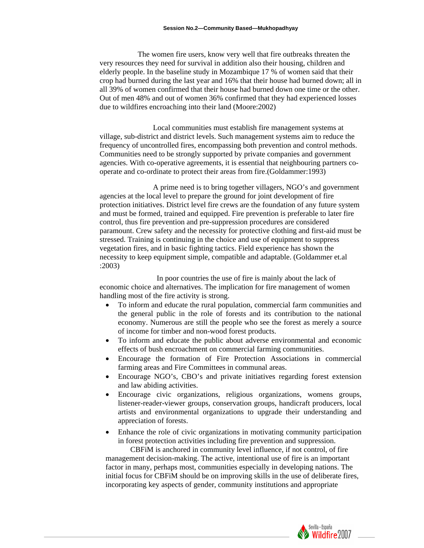The women fire users, know very well that fire outbreaks threaten the very resources they need for survival in addition also their housing, children and elderly people. In the baseline study in Mozambique 17 % of women said that their crop had burned during the last year and 16% that their house had burned down; all in all 39% of women confirmed that their house had burned down one time or the other. Out of men 48% and out of women 36% confirmed that they had experienced losses due to wildfires encroaching into their land (Moore:2002)

Local communities must establish fire management systems at village, sub-district and district levels. Such management systems aim to reduce the frequency of uncontrolled fires, encompassing both prevention and control methods. Communities need to be strongly supported by private companies and government agencies. With co-operative agreements, it is essential that neighbouring partners cooperate and co-ordinate to protect their areas from fire.(Goldammer:1993)

A prime need is to bring together villagers, NGO's and government agencies at the local level to prepare the ground for joint development of fire protection initiatives. District level fire crews are the foundation of any future system and must be formed, trained and equipped. Fire prevention is preferable to later fire control, thus fire prevention and pre-suppression procedures are considered paramount. Crew safety and the necessity for protective clothing and first-aid must be stressed. Training is continuing in the choice and use of equipment to suppress vegetation fires, and in basic fighting tactics. Field experience has shown the necessity to keep equipment simple, compatible and adaptable. (Goldammer et.al :2003)

In poor countries the use of fire is mainly about the lack of economic choice and alternatives. The implication for fire management of women handling most of the fire activity is strong.

- To inform and educate the rural population, commercial farm communities and the general public in the role of forests and its contribution to the national economy. Numerous are still the people who see the forest as merely a source of income for timber and non-wood forest products.
- To inform and educate the public about adverse environmental and economic effects of bush encroachment on commercial farming communities.
- Encourage the formation of Fire Protection Associations in commercial farming areas and Fire Committees in communal areas.
- Encourage NGO's, CBO's and private initiatives regarding forest extension and law abiding activities.
- Encourage civic organizations, religious organizations, womens groups, listener-reader-viewer groups, conservation groups, handicraft producers, local artists and environmental organizations to upgrade their understanding and appreciation of forests.
- Enhance the role of civic organizations in motivating community participation in forest protection activities including fire prevention and suppression.

 CBFiM is anchored in community level influence, if not control, of fire management decision-making. The active, intentional use of fire is an important factor in many, perhaps most, communities especially in developing nations. The initial focus for CBFiM should be on improving skills in the use of deliberate fires, incorporating key aspects of gender, community institutions and appropriate

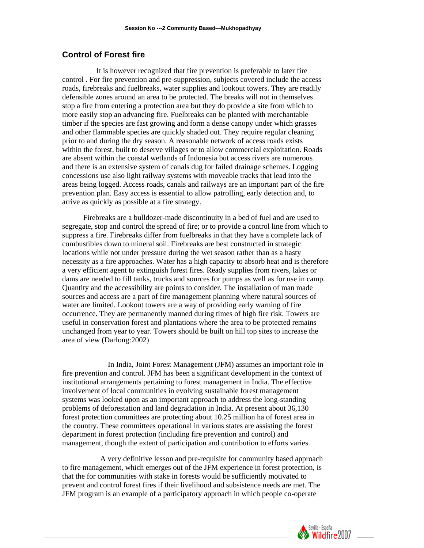# **Control of Forest fire**

It is however recognized that fire prevention is preferable to later fire control . For fire prevention and pre-suppression, subjects covered include the access roads, firebreaks and fuelbreaks, water supplies and lookout towers. They are readily defensible zones around an area to be protected. The breaks will not in themselves stop a fire from entering a protection area but they do provide a site from which to more easily stop an advancing fire. Fuelbreaks can be planted with merchantable timber if the species are fast growing and form a dense canopy under which grasses and other flammable species are quickly shaded out. They require regular cleaning prior to and during the dry season. A reasonable network of access roads exists within the forest, built to deserve villages or to allow commercial exploitation. Roads are absent within the coastal wetlands of Indonesia but access rivers are numerous and there is an extensive system of canals dug for failed drainage schemes. Logging concessions use also light railway systems with moveable tracks that lead into the areas being logged. Access roads, canals and railways are an important part of the fire prevention plan. Easy access is essential to allow patrolling, early detection and, to arrive as quickly as possible at a fire strategy.

 Firebreaks are a bulldozer-made discontinuity in a bed of fuel and are used to segregate, stop and control the spread of fire; or to provide a control line from which to suppress a fire. Firebreaks differ from fuelbreaks in that they have a complete lack of combustibles down to mineral soil. Firebreaks are best constructed in strategic locations while not under pressure during the wet season rather than as a hasty necessity as a fire approaches. Water has a high capacity to absorb heat and is therefore a very efficient agent to extinguish forest fires. Ready supplies from rivers, lakes or dams are needed to fill tanks, trucks and sources for pumps as well as for use in camp. Quantity and the accessibility are points to consider. The installation of man made sources and access are a part of fire management planning where natural sources of water are limited. Lookout towers are a way of providing early warning of fire occurrence. They are permanently manned during times of high fire risk. Towers are useful in conservation forest and plantations where the area to be protected remains unchanged from year to year. Towers should be built on hill top sites to increase the area of view (Darlong:2002)

In India, Joint Forest Management (JFM) assumes an important role in fire prevention and control. JFM has been a significant development in the context of institutional arrangements pertaining to forest management in India. The effective involvement of local communities in evolving sustainable forest management systems was looked upon as an important approach to address the long-standing problems of deforestation and land degradation in India. At present about 36,130 forest protection committees are protecting about 10.25 million ha of forest area in the country. These committees operational in various states are assisting the forest department in forest protection (including fire prevention and control) and management, though the extent of participation and contribution to efforts varies.

A very definitive lesson and pre-requisite for community based approach to fire management, which emerges out of the JFM experience in forest protection, is that the for communities with stake in forests would be sufficiently motivated to prevent and control forest fires if their livelihood and subsistence needs are met. The JFM program is an example of a participatory approach in which people co-operate

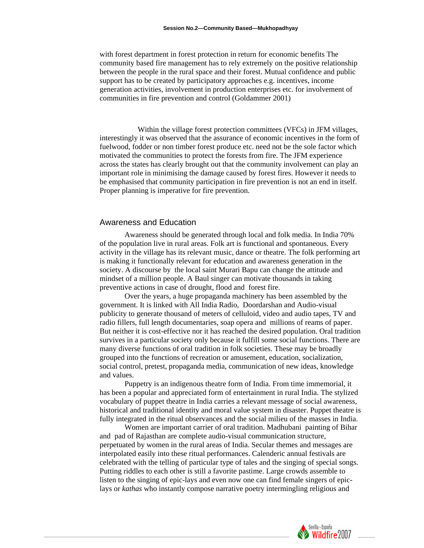with forest department in forest protection in return for economic benefits The community based fire management has to rely extremely on the positive relationship between the people in the rural space and their forest. Mutual confidence and public support has to be created by participatory approaches e.g. incentives, income generation activities, involvement in production enterprises etc. for involvement of communities in fire prevention and control (Goldammer 2001)

Within the village forest protection committees (VFCs) in JFM villages, interestingly it was observed that the assurance of economic incentives in the form of fuelwood, fodder or non timber forest produce etc. need not be the sole factor which motivated the communities to protect the forests from fire. The JFM experience across the states has clearly brought out that the community involvement can play an important role in minimising the damage caused by forest fires. However it needs to be emphasised that community participation in fire prevention is not an end in itself. Proper planning is imperative for fire prevention.

#### Awareness and Education

Awareness should be generated through local and folk media. In India 70% of the population live in rural areas. Folk art is functional and spontaneous. Every activity in the village has its relevant music, dance or theatre. The folk performing art is making it functionally relevant for education and awareness generation in the society. A discourse by the local saint Murari Bapu can change the attitude and mindset of a million people. A Baul singer can motivate thousands in taking preventive actions in case of drought, flood and forest fire.

 Over the years, a huge propaganda machinery has been assembled by the government. It is linked with All India Radio, Doordarshan and Audio-visual publicity to generate thousand of meters of celluloid, video and audio tapes, TV and radio fillers, full length documentaries, soap opera and millions of reams of paper. But neither it is cost-effective nor it has reached the desired population. Oral tradition survives in a particular society only because it fulfill some social functions. There are many diverse functions of oral tradition in folk societies. These may be broadly grouped into the functions of recreation or amusement, education, socialization, social control, pretest, propaganda media, communication of new ideas, knowledge and values.

 Puppetry is an indigenous theatre form of India. From time immemorial, it has been a popular and appreciated form of entertainment in rural India. The stylized vocabulary of puppet theatre in India carries a relevant message of social awareness, historical and traditional identity and moral value system in disaster. Puppet theatre is fully integrated in the ritual observances and the social milieu of the masses in India.

 Women are important carrier of oral tradition. Madhubani painting of Bihar and pad of Rajasthan are complete audio-visual communication structure, perpetuated by women in the rural areas of India. Secular themes and messages are interpolated easily into these ritual performances. Calenderic annual festivals are celebrated with the telling of particular type of tales and the singing of special songs. Putting riddles to each other is still a favorite pastime. Large crowds assemble to listen to the singing of epic-lays and even now one can find female singers of epiclays or *kathas* who instantly compose narrative poetry intermingling religious and

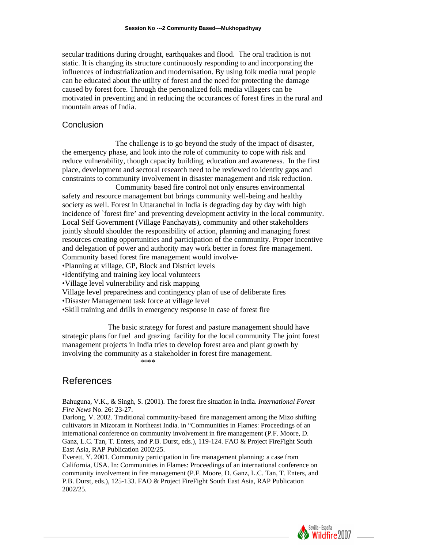secular traditions during drought, earthquakes and flood. The oral tradition is not static. It is changing its structure continuously responding to and incorporating the influences of industrialization and modernisation. By using folk media rural people can be educated about the utility of forest and the need for protecting the damage caused by forest fore. Through the personalized folk media villagers can be motivated in preventing and in reducing the occurances of forest fires in the rural and mountain areas of India.

#### **Conclusion**

The challenge is to go beyond the study of the impact of disaster, the emergency phase, and look into the role of community to cope with risk and reduce vulnerability, though capacity building, education and awareness. In the first place, development and sectoral research need to be reviewed to identity gaps and constraints to community involvement in disaster management and risk reduction.

Community based fire control not only ensures environmental safety and resource management but brings community well-being and healthy society as well. Forest in Uttaranchal in India is degrading day by day with high incidence of `forest fire' and preventing development activity in the local community. Local Self Government (Village Panchayats), community and other stakeholders jointly should shoulder the responsibility of action, planning and managing forest resources creating opportunities and participation of the community. Proper incentive and delegation of power and authority may work better in forest fire management. Community based forest fire management would involve-

•Planning at village, GP, Block and District levels

•Identifying and training key local volunteers

•Village level vulnerability and risk mapping

Village level preparedness and contingency plan of use of deliberate fires

•Disaster Management task force at village level

•Skill training and drills in emergency response in case of forest fire

The basic strategy for forest and pasture management should have strategic plans for fuel and grazing facility for the local community The joint forest management projects in India tries to develop forest area and plant growth by involving the community as a stakeholder in forest fire management.

\*\*\*\*

# References

Bahuguna, V.K., & Singh, S. (2001). The forest fire situation in India. *International Forest Fire News* No. 26: 23-27.

Darlong, V. 2002. Traditional community-based fire management among the Mizo shifting cultivators in Mizoram in Northeast India. in "Communities in Flames: Proceedings of an international conference on community involvement in fire management (P.F. Moore, D. Ganz, L.C. Tan, T. Enters, and P.B. Durst, eds.), 119-124. FAO & Project FireFight South East Asia, RAP Publication 2002/25.

Everett, Y. 2001. Community participation in fire management planning: a case from California, USA. In: Communities in Flames: Proceedings of an international conference on community involvement in fire management (P.F. Moore, D. Ganz, L.C. Tan, T. Enters, and P.B. Durst, eds.), 125-133. FAO & Project FireFight South East Asia, RAP Publication 2002/25.